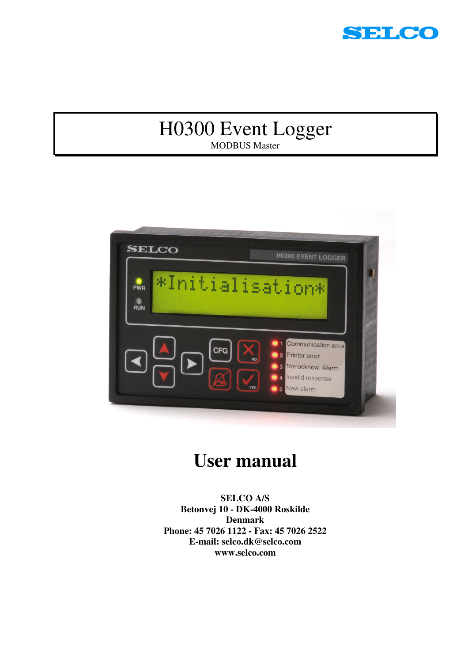

## H0300 Event Logger MODBUS Master



# **User manual**

**SELCO A/S Betonvej 10 - DK-4000 Roskilde Denmark Phone: 45 7026 1122 - Fax: 45 7026 2522 E-mail: selco.dk@selco.com www.selco.com**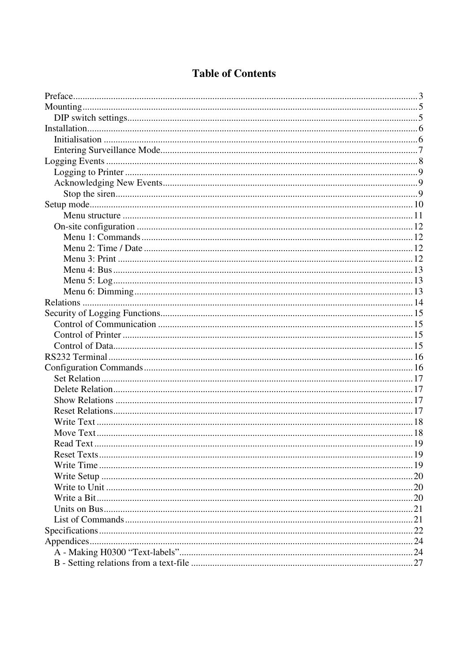## **Table of Contents**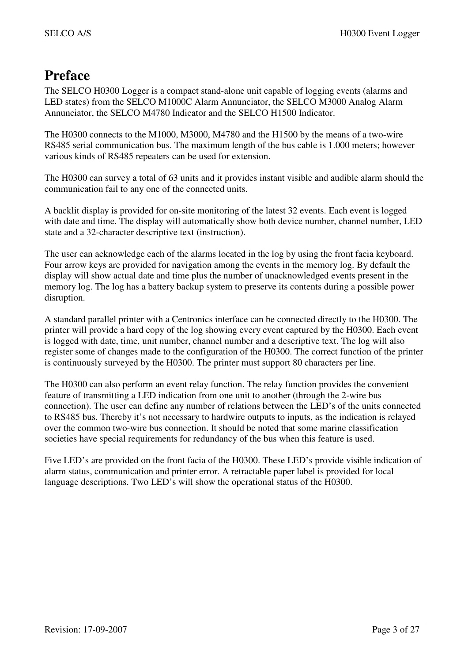## **Preface**

The SELCO H0300 Logger is a compact stand-alone unit capable of logging events (alarms and LED states) from the SELCO M1000C Alarm Annunciator, the SELCO M3000 Analog Alarm Annunciator, the SELCO M4780 Indicator and the SELCO H1500 Indicator.

The H0300 connects to the M1000, M3000, M4780 and the H1500 by the means of a two-wire RS485 serial communication bus. The maximum length of the bus cable is 1.000 meters; however various kinds of RS485 repeaters can be used for extension.

The H0300 can survey a total of 63 units and it provides instant visible and audible alarm should the communication fail to any one of the connected units.

A backlit display is provided for on-site monitoring of the latest 32 events. Each event is logged with date and time. The display will automatically show both device number, channel number, LED state and a 32-character descriptive text (instruction).

The user can acknowledge each of the alarms located in the log by using the front facia keyboard. Four arrow keys are provided for navigation among the events in the memory log. By default the display will show actual date and time plus the number of unacknowledged events present in the memory log. The log has a battery backup system to preserve its contents during a possible power disruption.

A standard parallel printer with a Centronics interface can be connected directly to the H0300. The printer will provide a hard copy of the log showing every event captured by the H0300. Each event is logged with date, time, unit number, channel number and a descriptive text. The log will also register some of changes made to the configuration of the H0300. The correct function of the printer is continuously surveyed by the H0300. The printer must support 80 characters per line.

The H0300 can also perform an event relay function. The relay function provides the convenient feature of transmitting a LED indication from one unit to another (through the 2-wire bus connection). The user can define any number of relations between the LED's of the units connected to RS485 bus. Thereby it's not necessary to hardwire outputs to inputs, as the indication is relayed over the common two-wire bus connection. It should be noted that some marine classification societies have special requirements for redundancy of the bus when this feature is used.

Five LED's are provided on the front facia of the H0300. These LED's provide visible indication of alarm status, communication and printer error. A retractable paper label is provided for local language descriptions. Two LED's will show the operational status of the H0300.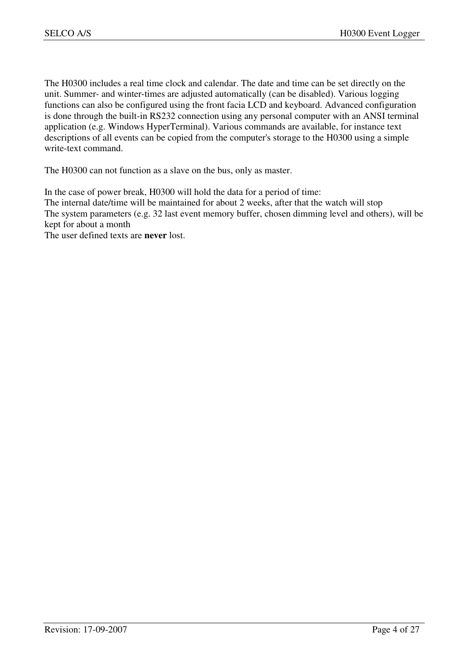The H0300 includes a real time clock and calendar. The date and time can be set directly on the unit. Summer- and winter-times are adjusted automatically (can be disabled). Various logging functions can also be configured using the front facia LCD and keyboard. Advanced configuration is done through the built-in RS232 connection using any personal computer with an ANSI terminal application (e.g. Windows HyperTerminal). Various commands are available, for instance text descriptions of all events can be copied from the computer's storage to the H0300 using a simple write-text command.

The H0300 can not function as a slave on the bus, only as master.

In the case of power break, H0300 will hold the data for a period of time: The internal date/time will be maintained for about 2 weeks, after that the watch will stop The system parameters (e.g. 32 last event memory buffer, chosen dimming level and others), will be kept for about a month The user defined texts are **never** lost.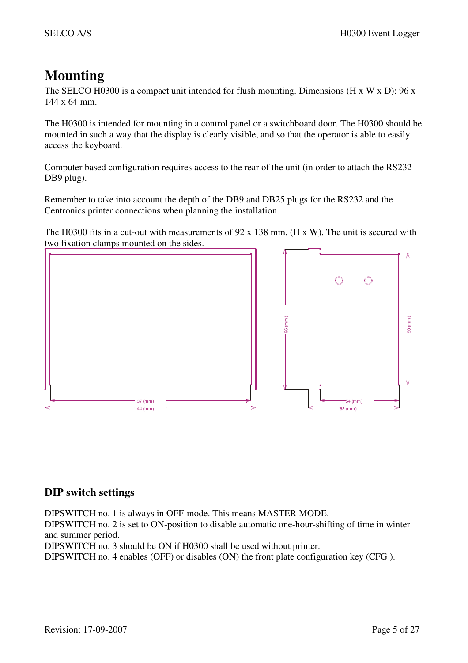## **Mounting**

The SELCO H0300 is a compact unit intended for flush mounting. Dimensions (H x W x D): 96 x 144 x 64 mm.

The H0300 is intended for mounting in a control panel or a switchboard door. The H0300 should be mounted in such a way that the display is clearly visible, and so that the operator is able to easily access the keyboard.

Computer based configuration requires access to the rear of the unit (in order to attach the RS232 DB9 plug).

Remember to take into account the depth of the DB9 and DB25 plugs for the RS232 and the Centronics printer connections when planning the installation.

The H0300 fits in a cut-out with measurements of 92 x 138 mm. (H x W). The unit is secured with two fixation clamps mounted on the sides.



### **DIP switch settings**

DIPSWITCH no. 1 is always in OFF-mode. This means MASTER MODE.

DIPSWITCH no. 2 is set to ON-position to disable automatic one-hour-shifting of time in winter and summer period.

DIPSWITCH no. 3 should be ON if H0300 shall be used without printer.

DIPSWITCH no. 4 enables (OFF) or disables (ON) the front plate configuration key (CFG ).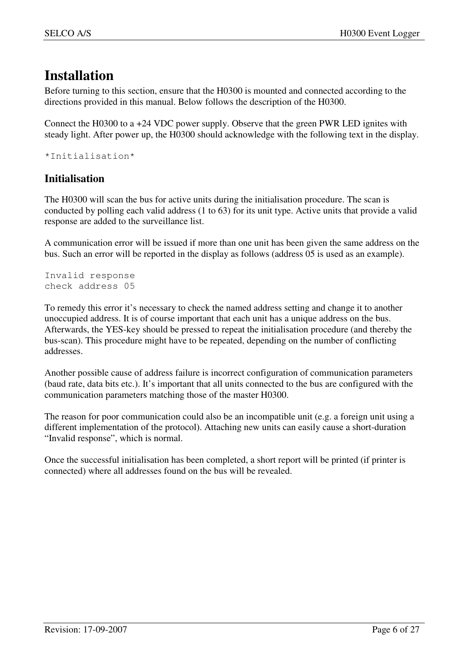## **Installation**

Before turning to this section, ensure that the H0300 is mounted and connected according to the directions provided in this manual. Below follows the description of the H0300.

Connect the H0300 to a +24 VDC power supply. Observe that the green PWR LED ignites with steady light. After power up, the H0300 should acknowledge with the following text in the display.

\*Initialisation\*

### **Initialisation**

The H0300 will scan the bus for active units during the initialisation procedure. The scan is conducted by polling each valid address (1 to 63) for its unit type. Active units that provide a valid response are added to the surveillance list.

A communication error will be issued if more than one unit has been given the same address on the bus. Such an error will be reported in the display as follows (address 05 is used as an example).

Invalid response check address 05

To remedy this error it's necessary to check the named address setting and change it to another unoccupied address. It is of course important that each unit has a unique address on the bus. Afterwards, the YES-key should be pressed to repeat the initialisation procedure (and thereby the bus-scan). This procedure might have to be repeated, depending on the number of conflicting addresses.

Another possible cause of address failure is incorrect configuration of communication parameters (baud rate, data bits etc.). It's important that all units connected to the bus are configured with the communication parameters matching those of the master H0300.

The reason for poor communication could also be an incompatible unit (e.g. a foreign unit using a different implementation of the protocol). Attaching new units can easily cause a short-duration "Invalid response", which is normal.

Once the successful initialisation has been completed, a short report will be printed (if printer is connected) where all addresses found on the bus will be revealed.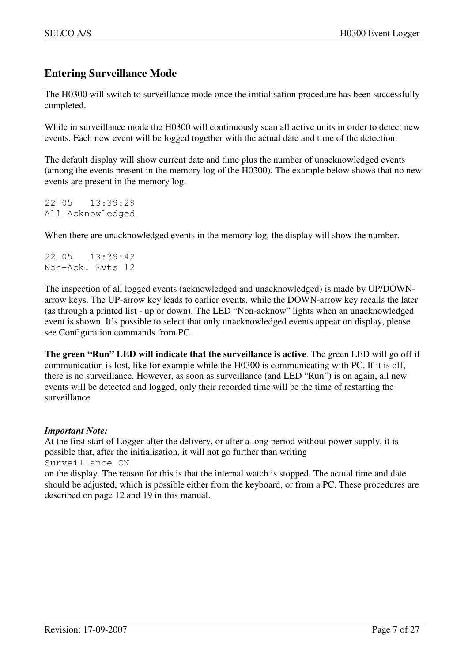## **Entering Surveillance Mode**

The H0300 will switch to surveillance mode once the initialisation procedure has been successfully completed.

While in surveillance mode the H0300 will continuously scan all active units in order to detect new events. Each new event will be logged together with the actual date and time of the detection.

The default display will show current date and time plus the number of unacknowledged events (among the events present in the memory log of the H0300). The example below shows that no new events are present in the memory log.

22-05 13:39:29 All Acknowledged

When there are unacknowledged events in the memory log, the display will show the number.

22-05 13:39:42 Non-Ack. Evts 12

The inspection of all logged events (acknowledged and unacknowledged) is made by UP/DOWNarrow keys. The UP-arrow key leads to earlier events, while the DOWN-arrow key recalls the later (as through a printed list - up or down). The LED "Non-acknow" lights when an unacknowledged event is shown. It's possible to select that only unacknowledged events appear on display, please see Configuration commands from PC.

**The green "Run" LED will indicate that the surveillance is active**. The green LED will go off if communication is lost, like for example while the H0300 is communicating with PC. If it is off, there is no surveillance. However, as soon as surveillance (and LED "Run") is on again, all new events will be detected and logged, only their recorded time will be the time of restarting the surveillance.

#### *Important Note:*

At the first start of Logger after the delivery, or after a long period without power supply, it is possible that, after the initialisation, it will not go further than writing Surveillance ON

on the display. The reason for this is that the internal watch is stopped. The actual time and date should be adjusted, which is possible either from the keyboard, or from a PC. These procedures are described on page 12 and 19 in this manual.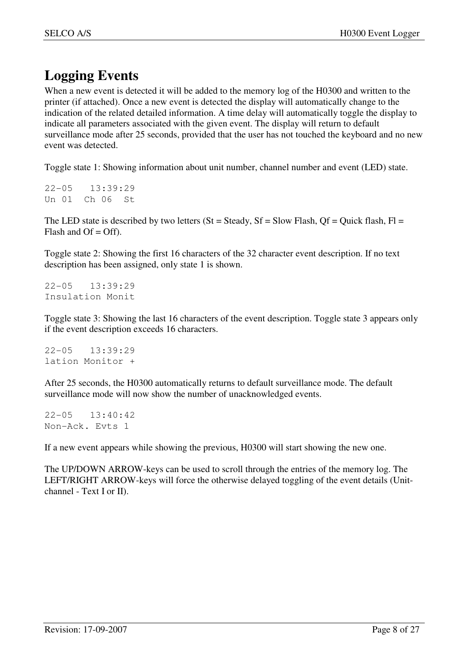## **Logging Events**

When a new event is detected it will be added to the memory log of the H0300 and written to the printer (if attached). Once a new event is detected the display will automatically change to the indication of the related detailed information. A time delay will automatically toggle the display to indicate all parameters associated with the given event. The display will return to default surveillance mode after 25 seconds, provided that the user has not touched the keyboard and no new event was detected.

Toggle state 1: Showing information about unit number, channel number and event (LED) state.

22-05 13:39:29 Un 01 Ch 06 St

The LED state is described by two letters (St = Steady, Sf = Slow Flash, Of = Quick flash, Fl = Flash and  $Of = Off$ ).

Toggle state 2: Showing the first 16 characters of the 32 character event description. If no text description has been assigned, only state 1 is shown.

22-05 13:39:29 Insulation Monit

Toggle state 3: Showing the last 16 characters of the event description. Toggle state 3 appears only if the event description exceeds 16 characters.

22-05 13:39:29 lation Monitor +

After 25 seconds, the H0300 automatically returns to default surveillance mode. The default surveillance mode will now show the number of unacknowledged events.

22-05 13:40:42 Non-Ack. Evts 1

If a new event appears while showing the previous, H0300 will start showing the new one.

The UP/DOWN ARROW-keys can be used to scroll through the entries of the memory log. The LEFT/RIGHT ARROW-keys will force the otherwise delayed toggling of the event details (Unitchannel - Text I or II).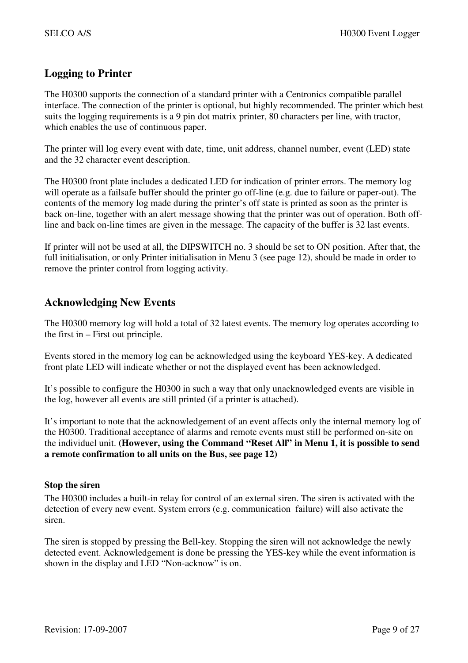### **Logging to Printer**

The H0300 supports the connection of a standard printer with a Centronics compatible parallel interface. The connection of the printer is optional, but highly recommended. The printer which best suits the logging requirements is a 9 pin dot matrix printer, 80 characters per line, with tractor, which enables the use of continuous paper.

The printer will log every event with date, time, unit address, channel number, event (LED) state and the 32 character event description.

The H0300 front plate includes a dedicated LED for indication of printer errors. The memory log will operate as a failsafe buffer should the printer go off-line (e.g. due to failure or paper-out). The contents of the memory log made during the printer's off state is printed as soon as the printer is back on-line, together with an alert message showing that the printer was out of operation. Both offline and back on-line times are given in the message. The capacity of the buffer is 32 last events.

If printer will not be used at all, the DIPSWITCH no. 3 should be set to ON position. After that, the full initialisation, or only Printer initialisation in Menu 3 (see page 12), should be made in order to remove the printer control from logging activity.

## **Acknowledging New Events**

The H0300 memory log will hold a total of 32 latest events. The memory log operates according to the first in – First out principle.

Events stored in the memory log can be acknowledged using the keyboard YES-key. A dedicated front plate LED will indicate whether or not the displayed event has been acknowledged.

It's possible to configure the H0300 in such a way that only unacknowledged events are visible in the log, however all events are still printed (if a printer is attached).

It's important to note that the acknowledgement of an event affects only the internal memory log of the H0300. Traditional acceptance of alarms and remote events must still be performed on-site on the individuel unit. **(However, using the Command "Reset All" in Menu 1, it is possible to send a remote confirmation to all units on the Bus, see page 12)**

#### **Stop the siren**

The H0300 includes a built-in relay for control of an external siren. The siren is activated with the detection of every new event. System errors (e.g. communication failure) will also activate the siren.

The siren is stopped by pressing the Bell-key. Stopping the siren will not acknowledge the newly detected event. Acknowledgement is done be pressing the YES-key while the event information is shown in the display and LED "Non-acknow" is on.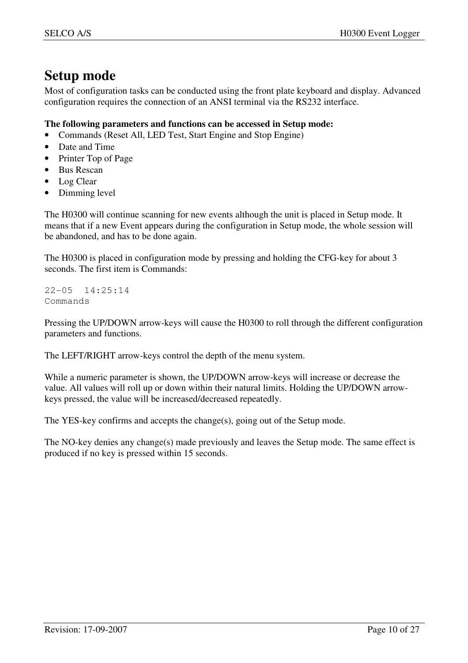## **Setup mode**

Most of configuration tasks can be conducted using the front plate keyboard and display. Advanced configuration requires the connection of an ANSI terminal via the RS232 interface.

#### **The following parameters and functions can be accessed in Setup mode:**

- Commands (Reset All, LED Test, Start Engine and Stop Engine)
- Date and Time
- Printer Top of Page
- Bus Rescan
- Log Clear
- Dimming level

The H0300 will continue scanning for new events although the unit is placed in Setup mode. It means that if a new Event appears during the configuration in Setup mode, the whole session will be abandoned, and has to be done again.

The H0300 is placed in configuration mode by pressing and holding the CFG-key for about 3 seconds. The first item is Commands:

22-05 14:25:14 Commands

Pressing the UP/DOWN arrow-keys will cause the H0300 to roll through the different configuration parameters and functions.

The LEFT/RIGHT arrow-keys control the depth of the menu system.

While a numeric parameter is shown, the UP/DOWN arrow-keys will increase or decrease the value. All values will roll up or down within their natural limits. Holding the UP/DOWN arrowkeys pressed, the value will be increased/decreased repeatedly.

The YES-key confirms and accepts the change(s), going out of the Setup mode.

The NO-key denies any change(s) made previously and leaves the Setup mode. The same effect is produced if no key is pressed within 15 seconds.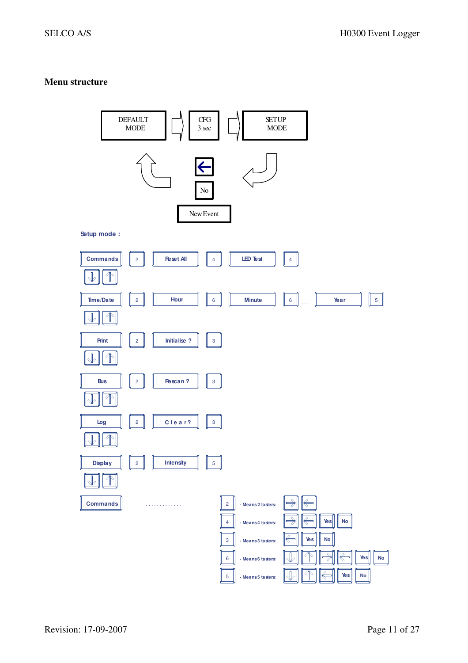#### **Menu structure**

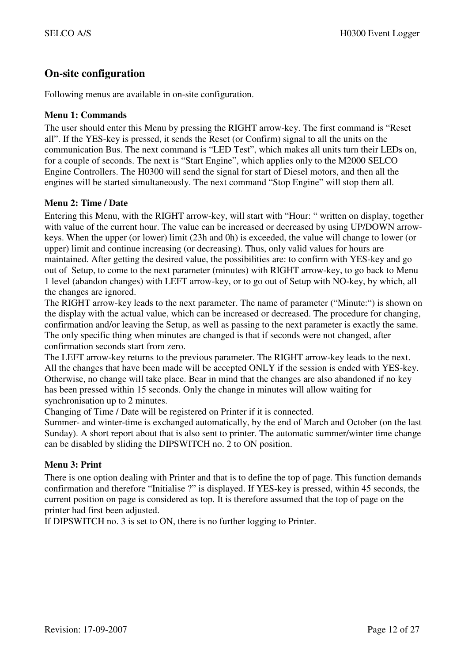### **On-site configuration**

Following menus are available in on-site configuration.

#### **Menu 1: Commands**

The user should enter this Menu by pressing the RIGHT arrow-key. The first command is "Reset all". If the YES-key is pressed, it sends the Reset (or Confirm) signal to all the units on the communication Bus. The next command is "LED Test", which makes all units turn their LEDs on, for a couple of seconds. The next is "Start Engine", which applies only to the M2000 SELCO Engine Controllers. The H0300 will send the signal for start of Diesel motors, and then all the engines will be started simultaneously. The next command "Stop Engine" will stop them all.

#### **Menu 2: Time / Date**

Entering this Menu, with the RIGHT arrow-key, will start with "Hour: " written on display, together with value of the current hour. The value can be increased or decreased by using UP/DOWN arrowkeys. When the upper (or lower) limit (23h and 0h) is exceeded, the value will change to lower (or upper) limit and continue increasing (or decreasing). Thus, only valid values for hours are maintained. After getting the desired value, the possibilities are: to confirm with YES-key and go out of Setup, to come to the next parameter (minutes) with RIGHT arrow-key, to go back to Menu 1 level (abandon changes) with LEFT arrow-key, or to go out of Setup with NO-key, by which, all the changes are ignored.

The RIGHT arrow-key leads to the next parameter. The name of parameter ("Minute:") is shown on the display with the actual value, which can be increased or decreased. The procedure for changing, confirmation and/or leaving the Setup, as well as passing to the next parameter is exactly the same. The only specific thing when minutes are changed is that if seconds were not changed, after confirmation seconds start from zero.

The LEFT arrow-key returns to the previous parameter. The RIGHT arrow-key leads to the next. All the changes that have been made will be accepted ONLY if the session is ended with YES-key. Otherwise, no change will take place. Bear in mind that the changes are also abandoned if no key has been pressed within 15 seconds. Only the change in minutes will allow waiting for synchronisation up to 2 minutes.

Changing of Time / Date will be registered on Printer if it is connected.

Summer- and winter-time is exchanged automatically, by the end of March and October (on the last Sunday). A short report about that is also sent to printer. The automatic summer/winter time change can be disabled by sliding the DIPSWITCH no. 2 to ON position.

#### **Menu 3: Print**

There is one option dealing with Printer and that is to define the top of page. This function demands confirmation and therefore "Initialise ?" is displayed. If YES-key is pressed, within 45 seconds, the current position on page is considered as top. It is therefore assumed that the top of page on the printer had first been adjusted.

If DIPSWITCH no. 3 is set to ON, there is no further logging to Printer.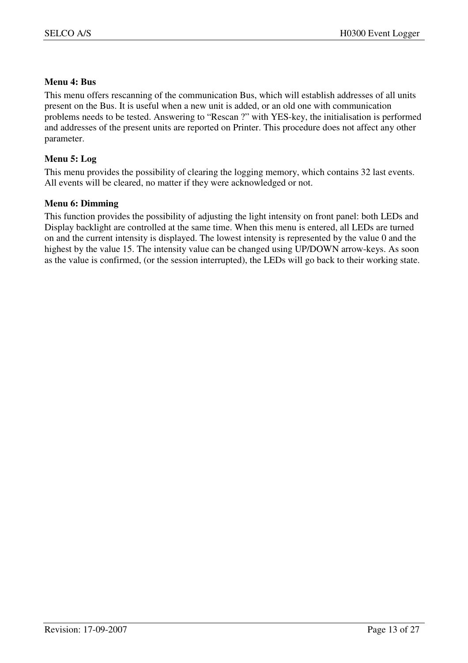#### **Menu 4: Bus**

This menu offers rescanning of the communication Bus, which will establish addresses of all units present on the Bus. It is useful when a new unit is added, or an old one with communication problems needs to be tested. Answering to "Rescan ?" with YES-key, the initialisation is performed and addresses of the present units are reported on Printer. This procedure does not affect any other parameter.

#### **Menu 5: Log**

This menu provides the possibility of clearing the logging memory, which contains 32 last events. All events will be cleared, no matter if they were acknowledged or not.

#### **Menu 6: Dimming**

This function provides the possibility of adjusting the light intensity on front panel: both LEDs and Display backlight are controlled at the same time. When this menu is entered, all LEDs are turned on and the current intensity is displayed. The lowest intensity is represented by the value 0 and the highest by the value 15. The intensity value can be changed using UP/DOWN arrow-keys. As soon as the value is confirmed, (or the session interrupted), the LEDs will go back to their working state.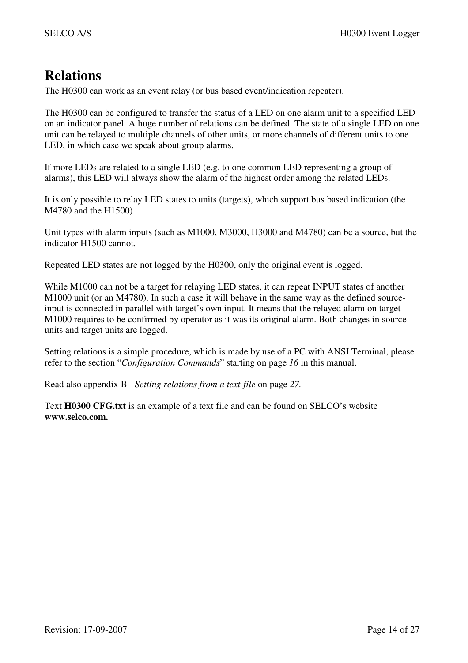## **Relations**

The H0300 can work as an event relay (or bus based event/indication repeater).

The H0300 can be configured to transfer the status of a LED on one alarm unit to a specified LED on an indicator panel. A huge number of relations can be defined. The state of a single LED on one unit can be relayed to multiple channels of other units, or more channels of different units to one LED, in which case we speak about group alarms.

If more LEDs are related to a single LED (e.g. to one common LED representing a group of alarms), this LED will always show the alarm of the highest order among the related LEDs.

It is only possible to relay LED states to units (targets), which support bus based indication (the M4780 and the H1500).

Unit types with alarm inputs (such as M1000, M3000, H3000 and M4780) can be a source, but the indicator H1500 cannot.

Repeated LED states are not logged by the H0300, only the original event is logged.

While M1000 can not be a target for relaying LED states, it can repeat INPUT states of another M1000 unit (or an M4780). In such a case it will behave in the same way as the defined sourceinput is connected in parallel with target's own input. It means that the relayed alarm on target M1000 requires to be confirmed by operator as it was its original alarm. Both changes in source units and target units are logged.

Setting relations is a simple procedure, which is made by use of a PC with ANSI Terminal, please refer to the section "*Configuration Commands*" starting on page *16* in this manual.

Read also appendix B - *Setting relations from a text-file* on page *27.*

Text **H0300 CFG.txt** is an example of a text file and can be found on SELCO's website **www.selco.com.**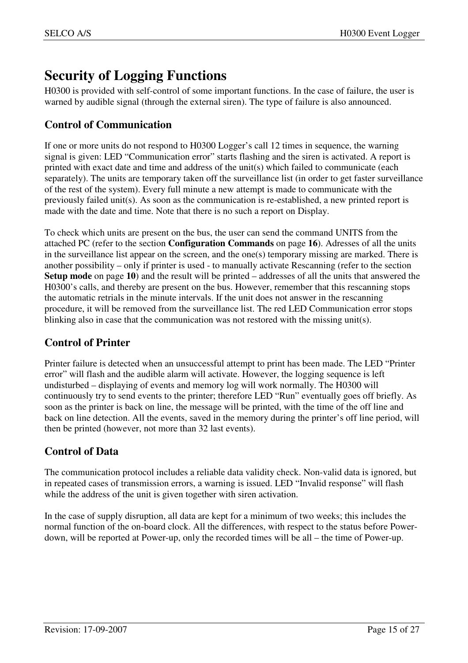## **Security of Logging Functions**

H0300 is provided with self-control of some important functions. In the case of failure, the user is warned by audible signal (through the external siren). The type of failure is also announced.

## **Control of Communication**

If one or more units do not respond to H0300 Logger's call 12 times in sequence, the warning signal is given: LED "Communication error" starts flashing and the siren is activated. A report is printed with exact date and time and address of the unit(s) which failed to communicate (each separately). The units are temporary taken off the surveillance list (in order to get faster surveillance of the rest of the system). Every full minute a new attempt is made to communicate with the previously failed unit(s). As soon as the communication is re-established, a new printed report is made with the date and time. Note that there is no such a report on Display.

To check which units are present on the bus, the user can send the command UNITS from the attached PC (refer to the section **Configuration Commands** on page **16**). Adresses of all the units in the surveillance list appear on the screen, and the one(s) temporary missing are marked. There is another possibility – only if printer is used - to manually activate Rescanning (refer to the section **Setup mode** on page **10**) and the result will be printed – addresses of all the units that answered the H0300's calls, and thereby are present on the bus. However, remember that this rescanning stops the automatic retrials in the minute intervals. If the unit does not answer in the rescanning procedure, it will be removed from the surveillance list. The red LED Communication error stops blinking also in case that the communication was not restored with the missing unit(s).

## **Control of Printer**

Printer failure is detected when an unsuccessful attempt to print has been made. The LED "Printer error" will flash and the audible alarm will activate. However, the logging sequence is left undisturbed – displaying of events and memory log will work normally. The H0300 will continuously try to send events to the printer; therefore LED "Run" eventually goes off briefly. As soon as the printer is back on line, the message will be printed, with the time of the off line and back on line detection. All the events, saved in the memory during the printer's off line period, will then be printed (however, not more than 32 last events).

## **Control of Data**

The communication protocol includes a reliable data validity check. Non-valid data is ignored, but in repeated cases of transmission errors, a warning is issued. LED "Invalid response" will flash while the address of the unit is given together with siren activation.

In the case of supply disruption, all data are kept for a minimum of two weeks; this includes the normal function of the on-board clock. All the differences, with respect to the status before Powerdown, will be reported at Power-up, only the recorded times will be all – the time of Power-up.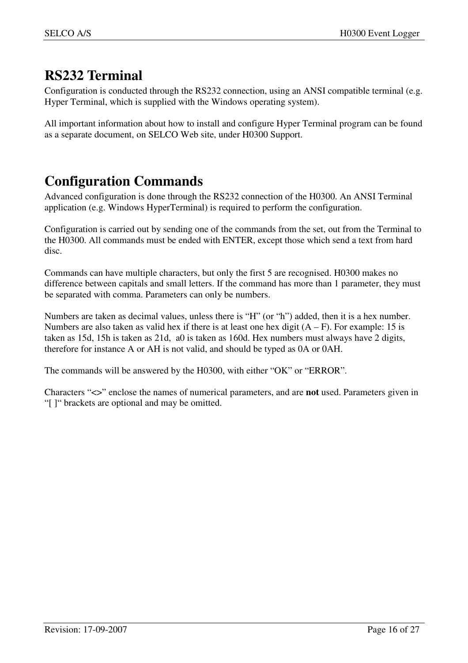## **RS232 Terminal**

Configuration is conducted through the RS232 connection, using an ANSI compatible terminal (e.g. Hyper Terminal, which is supplied with the Windows operating system).

All important information about how to install and configure Hyper Terminal program can be found as a separate document, on SELCO Web site, under H0300 Support.

## **Configuration Commands**

Advanced configuration is done through the RS232 connection of the H0300. An ANSI Terminal application (e.g. Windows HyperTerminal) is required to perform the configuration.

Configuration is carried out by sending one of the commands from the set, out from the Terminal to the H0300. All commands must be ended with ENTER, except those which send a text from hard disc.

Commands can have multiple characters, but only the first 5 are recognised. H0300 makes no difference between capitals and small letters. If the command has more than 1 parameter, they must be separated with comma. Parameters can only be numbers.

Numbers are taken as decimal values, unless there is "H" (or "h") added, then it is a hex number. Numbers are also taken as valid hex if there is at least one hex digit  $(A - F)$ . For example: 15 is taken as 15d, 15h is taken as 21d, a0 is taken as 160d. Hex numbers must always have 2 digits, therefore for instance A or AH is not valid, and should be typed as 0A or 0AH.

The commands will be answered by the H0300, with either "OK" or "ERROR".

Characters "<>" enclose the names of numerical parameters, and are **not** used. Parameters given in "[ ]" brackets are optional and may be omitted.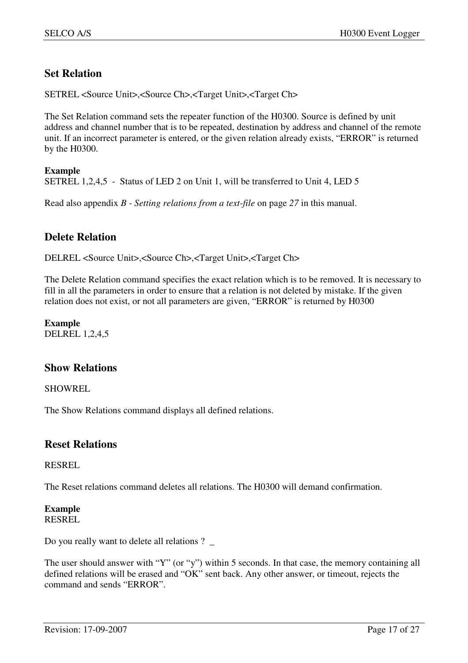### **Set Relation**

SETREL <Source Unit>,<Source Ch>,<Target Unit>,<Target Ch>

The Set Relation command sets the repeater function of the H0300. Source is defined by unit address and channel number that is to be repeated, destination by address and channel of the remote unit. If an incorrect parameter is entered, or the given relation already exists, "ERROR" is returned by the H0300.

**Example**  SETREL 1,2,4,5 - Status of LED 2 on Unit 1, will be transferred to Unit 4, LED 5

Read also appendix *B - Setting relations from a text-file* on page *27* in this manual.

#### **Delete Relation**

DELREL <Source Unit>,<Source Ch>,<Target Unit>,<Target Ch>

The Delete Relation command specifies the exact relation which is to be removed. It is necessary to fill in all the parameters in order to ensure that a relation is not deleted by mistake. If the given relation does not exist, or not all parameters are given, "ERROR" is returned by H0300

**Example**  DELREL 1,2,4,5

#### **Show Relations**

SHOWREL

The Show Relations command displays all defined relations.

#### **Reset Relations**

#### RESREL

The Reset relations command deletes all relations. The H0300 will demand confirmation.

#### **Example**  RESREL

Do you really want to delete all relations ?  $\overline{\phantom{a}}$ 

The user should answer with "Y" (or "y") within 5 seconds. In that case, the memory containing all defined relations will be erased and "OK" sent back. Any other answer, or timeout, rejects the command and sends "ERROR".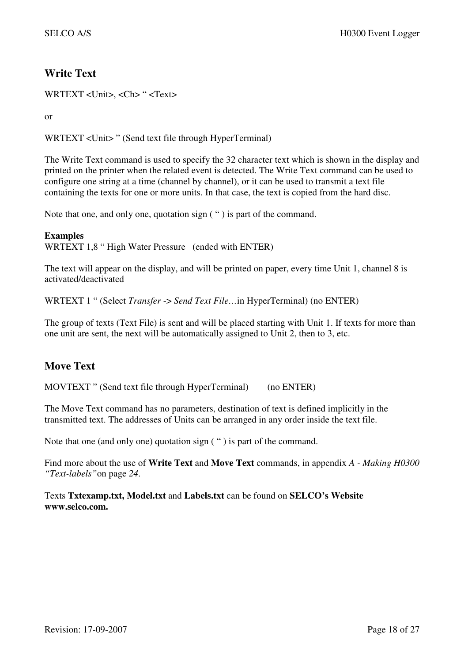## **Write Text**

WRTEXT <Unit>, <Ch> " <Text>

or

WRTEXT <Unit> " (Send text file through HyperTerminal)

The Write Text command is used to specify the 32 character text which is shown in the display and printed on the printer when the related event is detected. The Write Text command can be used to configure one string at a time (channel by channel), or it can be used to transmit a text file containing the texts for one or more units. In that case, the text is copied from the hard disc.

Note that one, and only one, quotation sign ( " ) is part of the command.

#### **Examples**

WRTEXT 1,8 " High Water Pressure (ended with ENTER)

The text will appear on the display, and will be printed on paper, every time Unit 1, channel 8 is activated/deactivated

WRTEXT 1 " (Select *Transfer* -> *Send Text File…*in HyperTerminal) (no ENTER)

The group of texts (Text File) is sent and will be placed starting with Unit 1. If texts for more than one unit are sent, the next will be automatically assigned to Unit 2, then to 3, etc.

## **Move Text**

MOVTEXT " (Send text file through HyperTerminal) (no ENTER)

The Move Text command has no parameters, destination of text is defined implicitly in the transmitted text. The addresses of Units can be arranged in any order inside the text file.

Note that one (and only one) quotation sign ( " ) is part of the command.

Find more about the use of **Write Text** and **Move Text** commands, in appendix *A - Making H0300 "Text-labels"*on page *24*.

Texts **Txtexamp.txt, Model.txt** and **Labels.txt** can be found on **SELCO's Website www.selco.com.**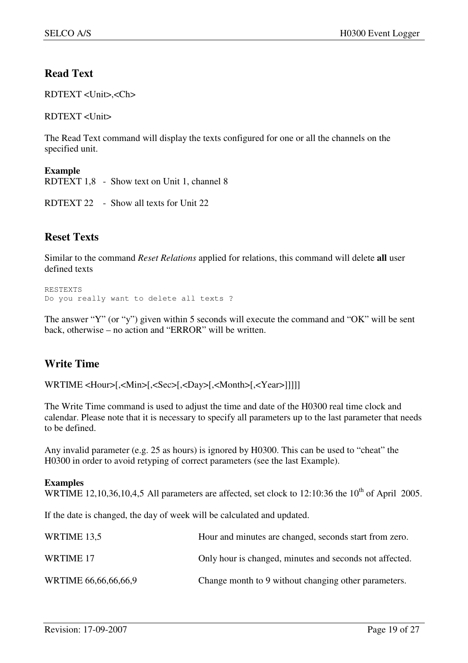## **Read Text**

RDTEXT <Unit>,<Ch>

RDTEXT <Unit>

The Read Text command will display the texts configured for one or all the channels on the specified unit.

**Example**  RDTEXT 1,8 - Show text on Unit 1, channel 8

RDTEXT 22 - Show all texts for Unit 22

### **Reset Texts**

Similar to the command *Reset Relations* applied for relations, this command will delete **all** user defined texts

```
RESTEXTS 
Do you really want to delete all texts ?
```
The answer "Y" (or "y") given within 5 seconds will execute the command and "OK" will be sent back, otherwise – no action and "ERROR" will be written.

## **Write Time**

WRTIME <Hour>[,<Min>[,<Sec>[,<Day>[,<Month>[,<Year>]]]]]

The Write Time command is used to adjust the time and date of the H0300 real time clock and calendar. Please note that it is necessary to specify all parameters up to the last parameter that needs to be defined.

Any invalid parameter (e.g. 25 as hours) is ignored by H0300. This can be used to "cheat" the H0300 in order to avoid retyping of correct parameters (see the last Example).

#### **Examples**

WRTIME 12,10,36,10,4,5 All parameters are affected, set clock to 12:10:36 the  $10^{th}$  of April 2005.

If the date is changed, the day of week will be calculated and updated.

| WRTIME 13,5          | Hour and minutes are changed, seconds start from zero.  |
|----------------------|---------------------------------------------------------|
| WRTIME 17            | Only hour is changed, minutes and seconds not affected. |
| WRTIME 66,66,66,66,9 | Change month to 9 without changing other parameters.    |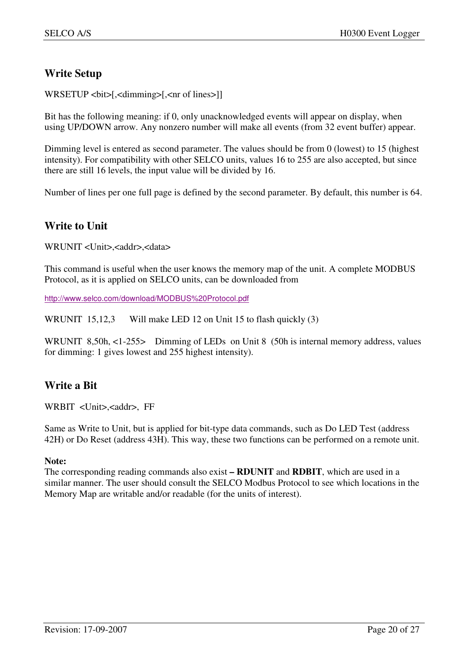### **Write Setup**

WRSETUP <bit>[,<dimming>[,<nr of lines>]]

Bit has the following meaning: if 0, only unacknowledged events will appear on display, when using UP/DOWN arrow. Any nonzero number will make all events (from 32 event buffer) appear.

Dimming level is entered as second parameter. The values should be from 0 (lowest) to 15 (highest intensity). For compatibility with other SELCO units, values 16 to 255 are also accepted, but since there are still 16 levels, the input value will be divided by 16.

Number of lines per one full page is defined by the second parameter. By default, this number is 64.

## **Write to Unit**

WRUNIT <Unit>,<addr>,<data>

This command is useful when the user knows the memory map of the unit. A complete MODBUS Protocol, as it is applied on SELCO units, can be downloaded from

http://www.selco.com/download/MODBUS%20Protocol.pdf

WRUNIT 15,12,3 Will make LED 12 on Unit 15 to flash quickly (3)

WRUNIT 8,50h, <1-255> Dimming of LEDs on Unit 8 (50h is internal memory address, values for dimming: 1 gives lowest and 255 highest intensity).

### **Write a Bit**

WRBIT <Unit>,<addr>, FF

Same as Write to Unit, but is applied for bit-type data commands, such as Do LED Test (address 42H) or Do Reset (address 43H). This way, these two functions can be performed on a remote unit.

#### **Note:**

The corresponding reading commands also exist **– RDUNIT** and **RDBIT**, which are used in a similar manner. The user should consult the SELCO Modbus Protocol to see which locations in the Memory Map are writable and/or readable (for the units of interest).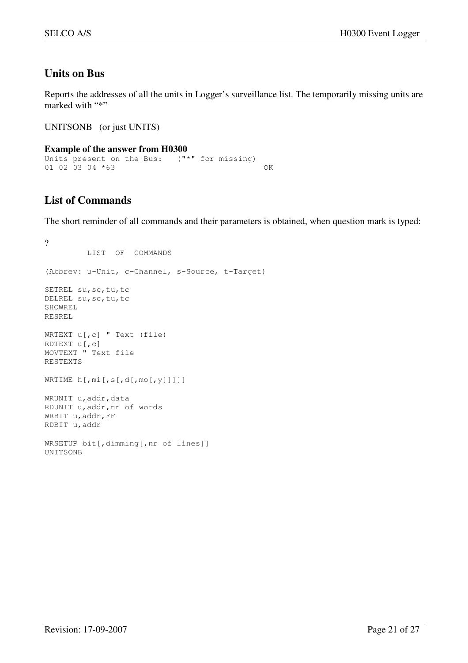## **Units on Bus**

Reports the addresses of all the units in Logger's surveillance list. The temporarily missing units are marked with "\*"

UNITSONB (or just UNITS)

```
Example of the answer from H0300 
Units present on the Bus: ("*" for missing) 
01 02 03 04 *63 OK
```
## **List of Commands**

The short reminder of all commands and their parameters is obtained, when question mark is typed:

```
? 
          LIST OF COMMANDS 
(Abbrev: u-Unit, c-Channel, s-Source, t-Target) 
SETREL su, sc, tu, tc
DELREL su,sc,tu,tc 
SHOWREL 
RESREL 
WRTEXT u[,c] " Text (file)
RDTEXT u[,c] 
MOVTEXT " Text file 
RESTEXTS 
WRTIME h[,mi[,s[,d[,mo[,y]]]]] 
WRUNIT u, addr, data
RDUNIT u,addr,nr of words 
WRBIT u, addr, FF
RDBIT u,addr 
WRSETUP bit[,dimming[,nr of lines]] 
UNITSONB
```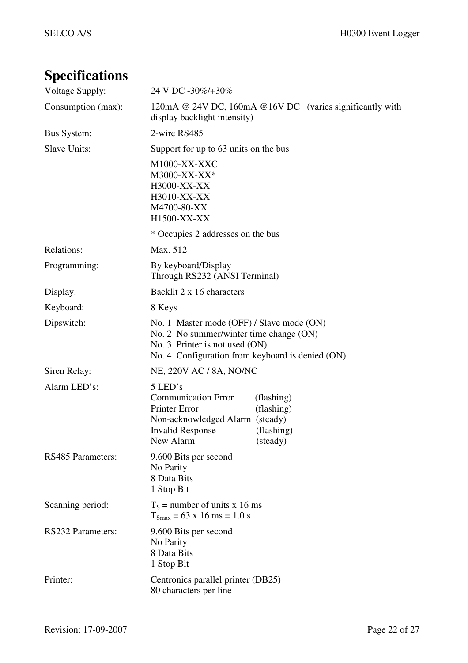# **Specifications**

| Voltage Supply:          | 24 V DC -30%/+30%                                                                                                                                                                       |
|--------------------------|-----------------------------------------------------------------------------------------------------------------------------------------------------------------------------------------|
| Consumption (max):       | 120mA @ 24V DC, 160mA @ 16V DC (varies significantly with<br>display backlight intensity)                                                                                               |
| <b>Bus System:</b>       | 2-wire RS485                                                                                                                                                                            |
| Slave Units:             | Support for up to 63 units on the bus                                                                                                                                                   |
|                          | M1000-XX-XXC<br>M3000-XX-XX*<br>H3000-XX-XX<br>H3010-XX-XX<br>M4700-80-XX<br>H1500-XX-XX                                                                                                |
|                          | * Occupies 2 addresses on the bus                                                                                                                                                       |
| Relations:               | Max. 512                                                                                                                                                                                |
| Programming:             | By keyboard/Display<br>Through RS232 (ANSI Terminal)                                                                                                                                    |
| Display:                 | Backlit 2 x 16 characters                                                                                                                                                               |
| Keyboard:                | 8 Keys                                                                                                                                                                                  |
| Dipswitch:               | No. 1 Master mode (OFF) / Slave mode (ON)<br>No. 2 No summer/winter time change (ON)<br>No. 3 Printer is not used (ON)<br>No. 4 Configuration from keyboard is denied (ON)              |
| Siren Relay:             | NE, 220V AC / 8A, NO/NC                                                                                                                                                                 |
| Alarm LED's:             | 5 LED's<br><b>Communication Error</b><br>(flashing)<br>Printer Error<br>(flashing)<br>Non-acknowledged Alarm (steady)<br><b>Invalid Response</b><br>(flashing)<br>New Alarm<br>(steady) |
| <b>RS485 Parameters:</b> | 9.600 Bits per second<br>No Parity<br>8 Data Bits<br>1 Stop Bit                                                                                                                         |
| Scanning period:         | $T_s$ = number of units x 16 ms<br>$T_{\text{Smax}} = 63 \times 16 \text{ ms} = 1.0 \text{ s}$                                                                                          |
| RS232 Parameters:        | 9.600 Bits per second<br>No Parity<br>8 Data Bits<br>1 Stop Bit                                                                                                                         |
| Printer:                 | Centronics parallel printer (DB25)<br>80 characters per line                                                                                                                            |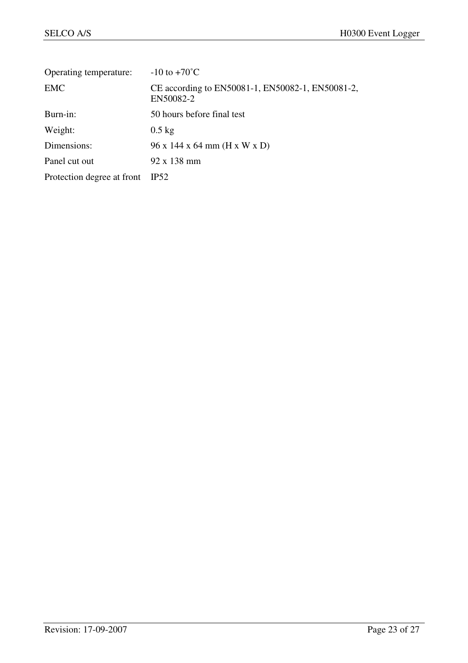| Operating temperature:     | $-10$ to $+70^{\circ}$ C                                      |
|----------------------------|---------------------------------------------------------------|
| <b>EMC</b>                 | CE according to EN50081-1, EN50082-1, EN50081-2,<br>EN50082-2 |
| Burn-in:                   | 50 hours before final test                                    |
| Weight:                    | $0.5 \text{ kg}$                                              |
| Dimensions:                | 96 x 144 x 64 mm (H x W x D)                                  |
| Panel cut out              | 92 x 138 mm                                                   |
| Protection degree at front | IP52                                                          |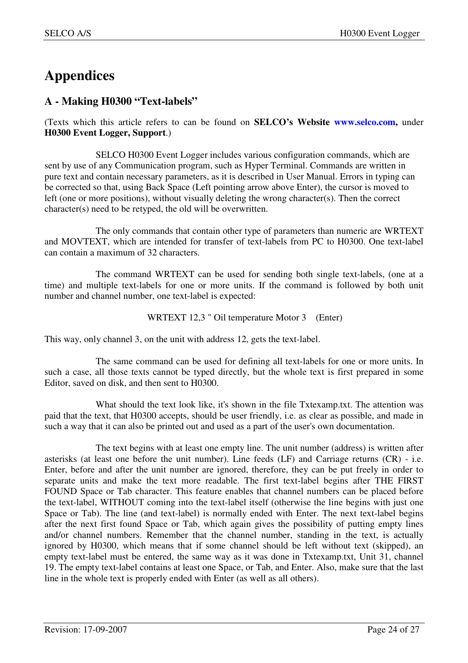## **Appendices**

## **A - Making H0300 "Text-labels"**

(Texts which this article refers to can be found on **SELCO's Website www.selco.com,** under **H0300 Event Logger, Support**.)

 SELCO H0300 Event Logger includes various configuration commands, which are sent by use of any Communication program, such as Hyper Terminal. Commands are written in pure text and contain necessary parameters, as it is described in User Manual. Errors in typing can be corrected so that, using Back Space (Left pointing arrow above Enter), the cursor is moved to left (one or more positions), without visually deleting the wrong character(s). Then the correct character(s) need to be retyped, the old will be overwritten.

 The only commands that contain other type of parameters than numeric are WRTEXT and MOVTEXT, which are intended for transfer of text-labels from PC to H0300. One text-label can contain a maximum of 32 characters.

 The command WRTEXT can be used for sending both single text-labels, (one at a time) and multiple text-labels for one or more units. If the command is followed by both unit number and channel number, one text-label is expected:

WRTEXT 12,3 " Oil temperature Motor 3 (Enter)

This way, only channel 3, on the unit with address 12, gets the text-label.

 The same command can be used for defining all text-labels for one or more units. In such a case, all those texts cannot be typed directly, but the whole text is first prepared in some Editor, saved on disk, and then sent to H0300.

 What should the text look like, it's shown in the file Txtexamp.txt. The attention was paid that the text, that H0300 accepts, should be user friendly, i.e. as clear as possible, and made in such a way that it can also be printed out and used as a part of the user's own documentation.

 The text begins with at least one empty line. The unit number (address) is written after asterisks (at least one before the unit number). Line feeds (LF) and Carriage returns (CR) - i.e. Enter, before and after the unit number are ignored, therefore, they can be put freely in order to separate units and make the text more readable. The first text-label begins after THE FIRST FOUND Space or Tab character. This feature enables that channel numbers can be placed before the text-label, WITHOUT coming into the text-label itself (otherwise the line begins with just one Space or Tab). The line (and text-label) is normally ended with Enter. The next text-label begins after the next first found Space or Tab, which again gives the possibility of putting empty lines and/or channel numbers. Remember that the channel number, standing in the text, is actually ignored by H0300, which means that if some channel should be left without text (skipped), an empty text-label must be entered, the same way as it was done in Txtexamp.txt, Unit 31, channel 19. The empty text-label contains at least one Space, or Tab, and Enter. Also, make sure that the last line in the whole text is properly ended with Enter (as well as all others).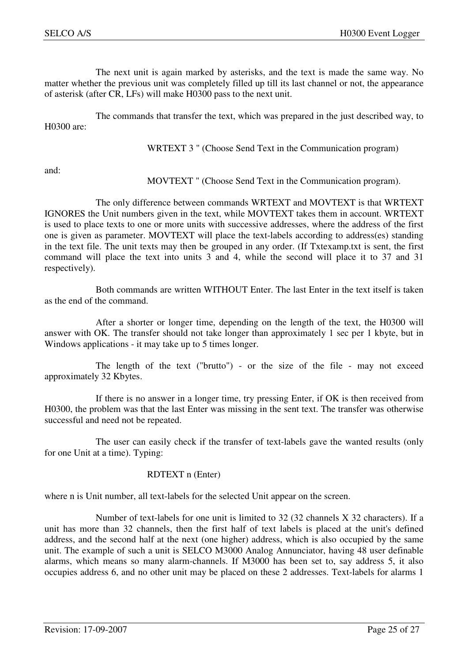The next unit is again marked by asterisks, and the text is made the same way. No matter whether the previous unit was completely filled up till its last channel or not, the appearance of asterisk (after CR, LFs) will make H0300 pass to the next unit.

 The commands that transfer the text, which was prepared in the just described way, to H0300 are:

WRTEXT 3 " (Choose Send Text in the Communication program)

and:

MOVTEXT " (Choose Send Text in the Communication program).

 The only difference between commands WRTEXT and MOVTEXT is that WRTEXT IGNORES the Unit numbers given in the text, while MOVTEXT takes them in account. WRTEXT is used to place texts to one or more units with successive addresses, where the address of the first one is given as parameter. MOVTEXT will place the text-labels according to address(es) standing in the text file. The unit texts may then be grouped in any order. (If Txtexamp.txt is sent, the first command will place the text into units 3 and 4, while the second will place it to 37 and 31 respectively).

 Both commands are written WITHOUT Enter. The last Enter in the text itself is taken as the end of the command.

 After a shorter or longer time, depending on the length of the text, the H0300 will answer with OK. The transfer should not take longer than approximately 1 sec per 1 kbyte, but in Windows applications - it may take up to 5 times longer.

 The length of the text ("brutto") - or the size of the file - may not exceed approximately 32 Kbytes.

 If there is no answer in a longer time, try pressing Enter, if OK is then received from H0300, the problem was that the last Enter was missing in the sent text. The transfer was otherwise successful and need not be repeated.

 The user can easily check if the transfer of text-labels gave the wanted results (only for one Unit at a time). Typing:

#### RDTEXT n (Enter)

where n is Unit number, all text-labels for the selected Unit appear on the screen.

 Number of text-labels for one unit is limited to 32 (32 channels X 32 characters). If a unit has more than 32 channels, then the first half of text labels is placed at the unit's defined address, and the second half at the next (one higher) address, which is also occupied by the same unit. The example of such a unit is SELCO M3000 Analog Annunciator, having 48 user definable alarms, which means so many alarm-channels. If M3000 has been set to, say address 5, it also occupies address 6, and no other unit may be placed on these 2 addresses. Text-labels for alarms 1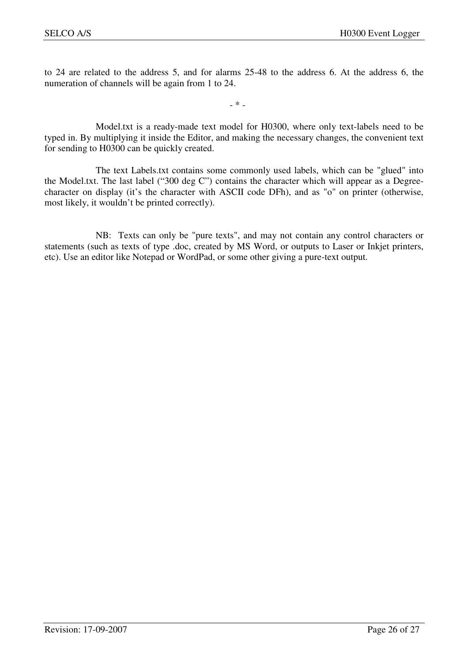to 24 are related to the address 5, and for alarms 25-48 to the address 6. At the address 6, the numeration of channels will be again from 1 to 24.

- \* -

 Model.txt is a ready-made text model for H0300, where only text-labels need to be typed in. By multiplying it inside the Editor, and making the necessary changes, the convenient text for sending to H0300 can be quickly created.

 The text Labels.txt contains some commonly used labels, which can be "glued" into the Model.txt. The last label ("300 deg C") contains the character which will appear as a Degreecharacter on display (it's the character with ASCII code DFh), and as "o" on printer (otherwise, most likely, it wouldn't be printed correctly).

 NB: Texts can only be "pure texts", and may not contain any control characters or statements (such as texts of type .doc, created by MS Word, or outputs to Laser or Inkjet printers, etc). Use an editor like Notepad or WordPad, or some other giving a pure-text output.